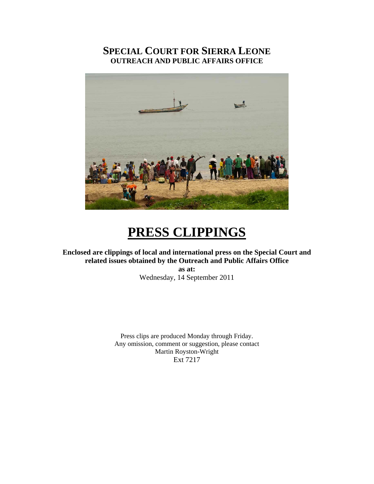# **SPECIAL COURT FOR SIERRA LEONE OUTREACH AND PUBLIC AFFAIRS OFFICE**



# **PRESS CLIPPINGS**

## **Enclosed are clippings of local and international press on the Special Court and related issues obtained by the Outreach and Public Affairs Office**

**as at:**  Wednesday, 14 September 2011

Press clips are produced Monday through Friday. Any omission, comment or suggestion, please contact Martin Royston-Wright Ext 7217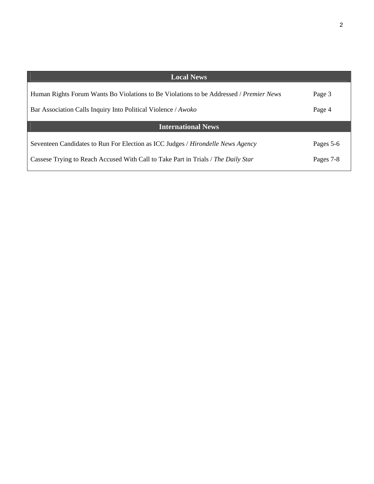| <b>Local News</b>                                                                      |           |
|----------------------------------------------------------------------------------------|-----------|
| Human Rights Forum Wants Bo Violations to Be Violations to be Addressed / Premier News | Page 3    |
| Bar Association Calls Inquiry Into Political Violence / Awoko                          | Page 4    |
| <b>International News</b>                                                              |           |
| Seventeen Candidates to Run For Election as ICC Judges / Hirondelle News Agency        | Pages 5-6 |
| Cassese Trying to Reach Accused With Call to Take Part in Trials / The Daily Star      | Pages 7-8 |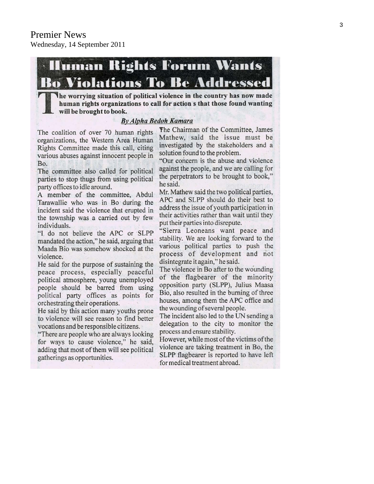# **IIuman Rights Forum Wants Bo Violations To Be Addressed**

The worrying situation of political violence in the country has now made human rights organizations to call for action s that those found wanting  $\mathbf{L}$  will be brought to book.

#### **By Alpha Bedoh Kamara**

The coalition of over 70 human rights organizations, the Western Area Human Rights Committee made this call, citing various abuses against innocent people in Bo.

The committee also called for political parties to stop thugs from using political party offices to idle around.

A member of the committee, Abdul Tarawallie who was in Bo during the incident said the violence that erupted in the township was a carried out by few individuals.

"I do not believe the APC or SLPP mandated the action," he said, arguing that Maada Bio was somehow shocked at the violence.

He said for the purpose of sustaining the peace process, especially peaceful political atmosphere, young unemployed people should be barred from using political party offices as points for orchestrating their operations.

He said by this action many youths prone to violence will see reason to find better vocations and be responsible citizens.

"There are people who are always looking for ways to cause violence," he said, adding that most of them will see political gatherings as opportunities.

The Chairman of the Committee, James Mathew, said the issue must be investigated by the stakeholders and a solution found to the problem.

"Our concern is the abuse and violence against the people, and we are calling for the perpetrators to be brought to book," he said.

Mr. Mathew said the two political parties, APC and SLPP should do their best to address the issue of youth participation in their activities rather than wait until they put their parties into disrepute.

"Sierra Leoneans want peace and stability. We are looking forward to the various political parties to push the process of development and not disintegrate it again," he said.

The violence in Bo after to the wounding of the flagbearer of the minority opposition party (SLPP), Julius Maasa Bio, also resulted in the burning of three houses, among them the APC office and the wounding of several people.

The incident also led to the UN sending a delegation to the city to monitor the process and ensure stability.

However, while most of the victims of the violence are taking treatment in Bo, the SLPP flagbearer is reported to have left for medical treatment abroad.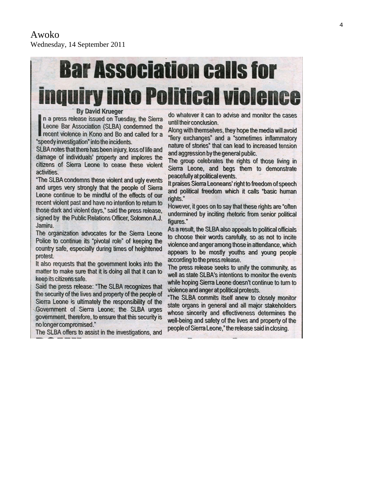# **Bar Association calls for inguiry into Political violence**

#### **By David Krueger**

n a press release issued on Tuesday, the Sierra Leone Bar Association (SLBA) condemned the recent violence in Kono and Bo and called for a "speedy investigation" into the incidents.

SLBA notes that there has been injury, loss of life and damage of individuals' property and implores the citizens of Sierra Leone to cease these violent activities.

"The SLBA condemns these violent and ugly events and urges very strongly that the people of Sierra Leone continue to be mindful of the effects of our recent violent past and have no intention to return to those dark and violent days," said the press release, signed by the Public Relations Officer, Solomon A.J. Jamiru.

The organization advocates for the Sierra Leone Police to continue its "pivotal role" of keeping the country safe, especially during times of heightened protest.

It also requests that the government looks into the matter to make sure that it is doing all that it can to keep its citizens safe.

Said the press release: "The SLBA recognizes that the security of the lives and property of the people of Sierra Leone is ultimately the responsibility of the Government of Sierra Leone; the SLBA urges government, therefore, to ensure that this security is no longer compromised."

The SLBA offers to assist in the investigations, and

do whatever it can to advise and monitor the cases until their conclusion.

Along with themselves, they hope the media will avoid "fiery exchanges" and a "sometimes inflammatory nature of stories" that can lead to increased tension and aggression by the general public.

The group celebrates the rights of those living in Sierra Leone, and begs them to demonstrate peacefully at political events.

It praises Sierra Leoneans' right to freedom of speech and political freedom which it calls "basic human rights."

However, it goes on to say that these rights are "often undermined by inciting rhetoric from senior political figures."

As a result, the SLBA also appeals to political officials to choose their words carefully, so as not to incite violence and anger among those in attendance, which appears to be mostly youths and young people according to the press release.

The press release seeks to unify the community, as well as state SLBA's intentions to monitor the events while hoping Sierra Leone doesn't continue to turn to violence and anger at political protests.

"The SLBA commits itself anew to closely monitor state organs in general and all major stakeholders whose sincerity and effectiveness determines the well-being and safety of the lives and property of the people of Sierra Leone," the release said in closing.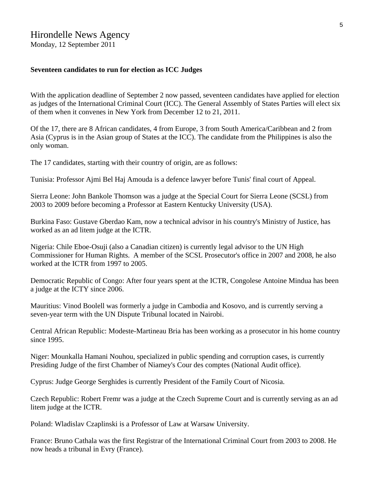# Hirondelle News Agency

Monday, 12 September 2011

#### **Seventeen candidates to run for election as ICC Judges**

With the application deadline of September 2 now passed, seventeen candidates have applied for election as judges of the International Criminal Court (ICC). The General Assembly of States Parties will elect six of them when it convenes in New York from December 12 to 21, 2011.

Of the 17, there are 8 African candidates, 4 from Europe, 3 from South America/Caribbean and 2 from Asia (Cyprus is in the Asian group of States at the ICC). The candidate from the Philippines is also the only woman.

The 17 candidates, starting with their country of origin, are as follows:

Tunisia: Professor Ajmi Bel Haj Amouda is a defence lawyer before Tunis' final court of Appeal.

Sierra Leone: John Bankole Thomson was a judge at the Special Court for Sierra Leone (SCSL) from 2003 to 2009 before becoming a Professor at Eastern Kentucky University (USA).

Burkina Faso: Gustave Gberdao Kam, now a technical advisor in his country's Ministry of Justice, has worked as an ad litem judge at the ICTR.

Nigeria: Chile Eboe-Osuji (also a Canadian citizen) is currently legal advisor to the UN High Commissioner for Human Rights. A member of the SCSL Prosecutor's office in 2007 and 2008, he also worked at the ICTR from 1997 to 2005.

Democratic Republic of Congo: After four years spent at the ICTR, Congolese Antoine Mindua has been a judge at the ICTY since 2006.

Mauritius: Vinod Boolell was formerly a judge in Cambodia and Kosovo, and is currently serving a seven-year term with the UN Dispute Tribunal located in Nairobi.

Central African Republic: Modeste-Martineau Bria has been working as a prosecutor in his home country since 1995.

Niger: Mounkalla Hamani Nouhou, specialized in public spending and corruption cases, is currently Presiding Judge of the first Chamber of Niamey's Cour des comptes (National Audit office).

Cyprus: Judge George Serghides is currently President of the Family Court of Nicosia.

Czech Republic: Robert Fremr was a judge at the Czech Supreme Court and is currently serving as an ad litem judge at the ICTR.

Poland: Wladislav Czaplinski is a Professor of Law at Warsaw University.

France: Bruno Cathala was the first Registrar of the International Criminal Court from 2003 to 2008. He now heads a tribunal in Evry (France).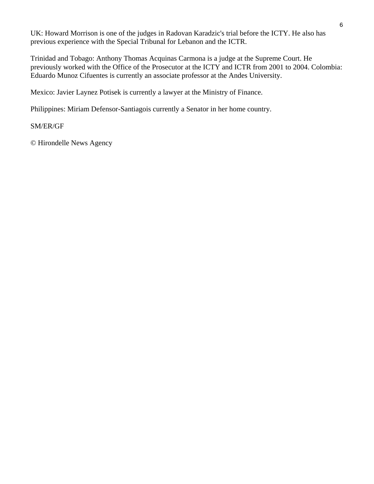UK: Howard Morrison is one of the judges in Radovan Karadzic's trial before the ICTY. He also has previous experience with the Special Tribunal for Lebanon and the ICTR.

Trinidad and Tobago: Anthony Thomas Acquinas Carmona is a judge at the Supreme Court. He previously worked with the Office of the Prosecutor at the ICTY and ICTR from 2001 to 2004. Colombia: Eduardo Munoz Cifuentes is currently an associate professor at the Andes University.

Mexico: Javier Laynez Potisek is currently a lawyer at the Ministry of Finance.

Philippines: Miriam Defensor-Santiagois currently a Senator in her home country.

#### SM/ER/GF

© Hirondelle News Agency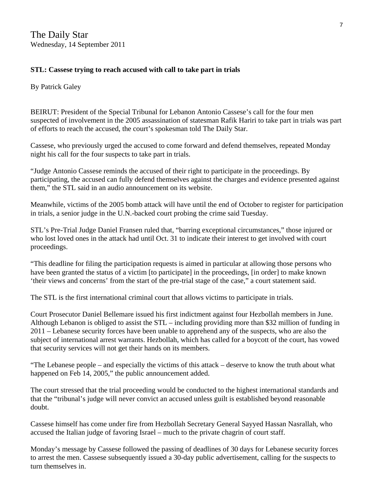### **STL: Cassese trying to reach accused with call to take part in trials**

By Patrick Galey

BEIRUT: President of the Special Tribunal for Lebanon Antonio Cassese's call for the four men suspected of involvement in the 2005 assassination of statesman Rafik Hariri to take part in trials was part of efforts to reach the accused, the court's spokesman told The Daily Star.

Cassese, who previously urged the accused to come forward and defend themselves, repeated Monday night his call for the four suspects to take part in trials.

"Judge Antonio Cassese reminds the accused of their right to participate in the proceedings. By participating, the accused can fully defend themselves against the charges and evidence presented against them," the STL said in an audio announcement on its website.

Meanwhile, victims of the 2005 bomb attack will have until the end of October to register for participation in trials, a senior judge in the U.N.-backed court probing the crime said Tuesday.

STL's Pre-Trial Judge Daniel Fransen ruled that, "barring exceptional circumstances," those injured or who lost loved ones in the attack had until Oct. 31 to indicate their interest to get involved with court proceedings.

"This deadline for filing the participation requests is aimed in particular at allowing those persons who have been granted the status of a victim [to participate] in the proceedings, [in order] to make known 'their views and concerns' from the start of the pre-trial stage of the case," a court statement said.

The STL is the first international criminal court that allows victims to participate in trials.

Court Prosecutor Daniel Bellemare issued his first indictment against four Hezbollah members in June. Although Lebanon is obliged to assist the STL – including providing more than \$32 million of funding in 2011 – Lebanese security forces have been unable to apprehend any of the suspects, who are also the subject of international arrest warrants. Hezbollah, which has called for a boycott of the court, has vowed that security services will not get their hands on its members.

"The Lebanese people – and especially the victims of this attack – deserve to know the truth about what happened on Feb 14, 2005," the public announcement added.

The court stressed that the trial proceeding would be conducted to the highest international standards and that the "tribunal's judge will never convict an accused unless guilt is established beyond reasonable doubt.

Cassese himself has come under fire from Hezbollah Secretary General Sayyed Hassan Nasrallah, who accused the Italian judge of favoring Israel – much to the private chagrin of court staff.

Monday's message by Cassese followed the passing of deadlines of 30 days for Lebanese security forces to arrest the men. Cassese subsequently issued a 30-day public advertisement, calling for the suspects to turn themselves in.